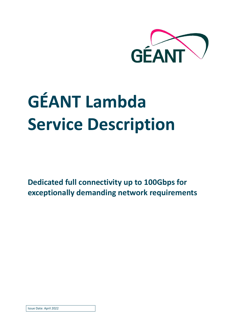

# **GÉANT Lambda Service Description**

**Dedicated full connectivity up to 100Gbps for exceptionally demanding network requirements**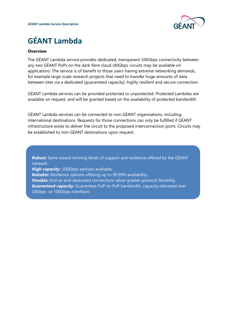

# **GÉANT Lambda**

#### **Overview**

The GÉANT Lambda service provides dedicated, transparent 100Gbps connectivity between any two GÉANT PoPs on the dark fibre cloud (40Gbps circuits may be available on application). The service is of benefit to those users having extreme networking demands, for example large-scale research projects that need to transfer huge amounts of data between sites via a dedicated (guaranteed capacity), highly resilient and secure connection.

GÉANT Lambda services can be provided protected or unprotected. Protected Lambdas are available on request, and will be granted based on the availability of protected bandwidth.

GÉANT Lambda services can be connected to non-GÉANT organisations, including international destinations. Requests for those connections can only be fulfilled if GÉANT infrastructure exists to deliver the circuit to the proposed interconnection point. Circuits may be established to non-GÉANT destinations upon request.

*Robust:* Same award-winning levels of support and resilience offered by the GÉANT network. *High capacity***:** 100Gbps services available. *Reliable***:** Resilience options offering up to 99.99% availability. *Flexible***:** End-to-end dedicated connections allow greater protocol flexibility. *Guaranteed capacity*: Guarantees PoP-to-PoP bandwidth, capacity delivered over

10Gbps or 100Gbps interfaces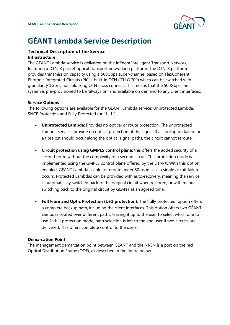

## **GÉANT Lambda Service Description**

#### **Technical Description of the Service Infrastructure**

The GÉANT Lambda service is delivered on the Infinera Intelligent Transport Network, featuring a DTN-X packet optical transport networking platform. The DTN-X platform provides transmission capacity using a 500Gbps super-channel based on FlexCoherent Photonic Integrated Circuits (PICs), built-in OTN (ITU G.709) which can be switched with granularity 1Gb/s, non-blocking OTN cross connect. This means that the 500Gbps line system is pre-provisioned to be 'always on' and available on demand to any client interfaces.

#### **Service Options**

The following options are available for the GÉANT Lambda service: Unprotected Lambda, SNCP Protection and Fully Protected (or "1+1")

- **Unprotected Lambda**: Provides no optical or route protection. The unprotected Lambda services provide no optical protection of the signal. If a card/optics failure or a fibre cut should occur along the optical signal paths, the circuit cannot reroute.
- **Circuit protection using GMPLS control plane**: this offers the added security of a second route without the complexity of a second circuit. This protection mode is implemented using the GMPLS control plane offered by the DTN-X. With this option enabled, GÉANT Lambda is able to reroute under 50ms in case a single circuit failure occurs. Protected Lambdas can be provided with auto-recovery, meaning the service is automatically switched back to the original circuit when restored, or with manual switching back to the original circuit by GÉANT at an agreed time.
- **Full Fibre and Optic Protection (1+1 protection)**: The 'fully protected' option offers a complete backup path, including the client interfaces. This option offers two GÉANT Lambdas routed over different paths, leaving it up to the user to select which one to use. In full protection mode, path selection is left to the end user if two circuits are delivered. This offers complete control to the users.

#### **Demarcation Point**

The management demarcation point between GÉANT and the NREN is a port on the rack Optical Distribution Frame (ODF), as described in the figure below.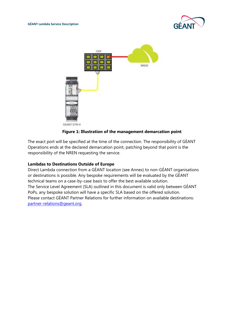



#### **Figure 1: Illustration of the management demarcation point**

The exact port will be specified at the time of the connection. The responsibility of GÉANT Operations ends at the declared demarcation point, patching beyond that point is the responsibility of the NREN requesting the service.

#### **Lambdas to Destinations Outside of Europe**

Direct Lambda connection from a GÉANT location (see Annex) to non-GÉANT organisations or destinations is possible. Any bespoke requirements will be evaluated by the GÉANT technical teams on a case-by-case basis to offer the best available solution. The Service Level Agreement (SLA) outlined in this document is valid only between GÉANT PoPs, any bespoke solution will have a specific SLA based on the offered solution. Please contact GÉANT Partner Relations for further information on available destinations: [partner-relations@geant.org.](mailto:partner-relations@geant.org)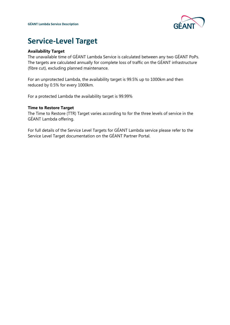

## **Service-Level Target**

#### **Availability Target**

The unavailable time of GÉANT Lambda Service is calculated between any two GÉANT PoPs. The targets are calculated annually for complete loss of traffic on the GÉANT infrastructure (fibre cut), excluding planned maintenance.

For an unprotected Lambda, the availability target is 99.5% up to 1000km and then reduced by 0.5% for every 1000km.

For a protected Lambda the availability target is 99.99%

#### **Time to Restore Target**

The Time to Restore (TTR) Target varies according to for the three levels of service in the GÉANT Lambda offering.

For full details of the Service Level Targets for GÉANT Lambda service please refer to the Service Level Target documentation on the GÉANT Partner Portal.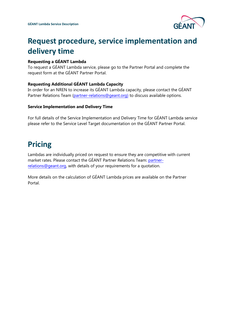

## **Request procedure, service implementation and delivery time**

#### **Requesting a GÉANT Lambda**

To request a GÉANT Lambda service, please go to the Partner Portal and complete the request form at [the GÉANT Partner Portal.](https://partner.geant.net/sites/Partner/SitePages/Service%20Request.aspx)

#### **Requesting Additional GÉANT Lambda Capacity**

In order for an NREN to increase its GÉANT Lambda capacity, please contact the GÉANT Partner Relations Team [\(partner-relations@geant.org\)](mailto:partner-relations@geant.org) to discuss available options.

#### **Service Implementation and Delivery Time**

For full details of the Service Implementation and Delivery Time for GÉANT Lambda service please refer to the Service Level Target documentation on the GÉANT Partner Portal.

## **Pricing**

Lambdas are individually priced on request to ensure they are competitive with current market rates. Please contact the GÉANT Partner Relations Team: [partner](mailto:partner-relations@geant.org)[relations@geant.org,](mailto:partner-relations@geant.org) with details of your requirements for a quotation.

More details on the calculation of GÉANT Lambda prices are available on the Partner Portal.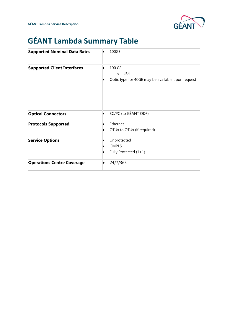

# **GÉANT Lambda Summary Table**

| <b>Supported Nominal Data Rates</b> | 100GE                                                                          |
|-------------------------------------|--------------------------------------------------------------------------------|
| <b>Supported Client Interfaces</b>  | 100 GE:<br>LR4<br>$\circ$<br>Optic type for 40GE may be available upon request |
| <b>Optical Connectors</b>           | SC/PC (to GÉANT ODF)                                                           |
| <b>Protocols Supported</b>          | Ethernet<br>OTUx to OTUx (if required)                                         |
| <b>Service Options</b>              | Unprotected<br><b>GMPLS</b><br>Fully Protected $(1+1)$                         |
| <b>Operations Centre Coverage</b>   | 24/7/365                                                                       |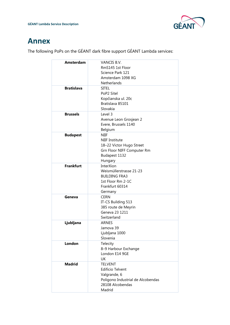

### **Annex**

The following PoPs on the GÉANT dark fibre support GÉANT Lambda services:

| <b>Amsterdam</b>  | VANCIS B.V.                           |
|-------------------|---------------------------------------|
|                   | RmS145 1st Floor                      |
|                   | Science Park 121                      |
|                   | Amsterdam 1098 XG                     |
|                   | Netherlands                           |
| <b>Bratislava</b> | <b>SITEL</b>                          |
|                   | PoP2 Sitel                            |
|                   | Kopčianska ul. 20c                    |
|                   | Bratislava 85101                      |
|                   | Slovakia                              |
| <b>Brussels</b>   | Level 3                               |
|                   | Avenue Leon Grosjean 2                |
|                   | Evere, Brussels 1140                  |
|                   | Belgium                               |
| <b>Budapest</b>   | <b>NIIF</b>                           |
|                   | <b>NIIF Institute</b>                 |
|                   | 18-22 Victor Hugo Street              |
|                   | Grn Floor NIFF Computer Rm            |
|                   | Budapest 1132                         |
|                   | Hungary                               |
| <b>Frankfurt</b>  | <b>InterXion</b>                      |
|                   | Weismüllerstrasse 21-23               |
|                   | <b>BUILDING FRA3</b>                  |
|                   | 1st Floor Rm 2-1C                     |
|                   | Frankfurt 60314                       |
|                   | Germany                               |
| Geneva            | <b>CERN</b>                           |
|                   | IT-CS Building 513                    |
|                   | 385 route de Meyrin<br>Geneva 23 1211 |
|                   | Switzerland                           |
| Ljubljana         | <b>ARNES</b>                          |
|                   | Jamova 39                             |
|                   | Ljubljana 1000                        |
|                   | Slovenia                              |
| London            | Telecity                              |
|                   | 8-9 Harbour Exchange                  |
|                   | London E14 9GE                        |
|                   | UK                                    |
| <b>Madrid</b>     | <b>TELVENT</b>                        |
|                   | <b>Edificio Telvent</b>               |
|                   | Valgrande, 6                          |
|                   | Poligono Industrial de Alcobendas     |
|                   | 28108 Alcobendas                      |
|                   | Madrid                                |